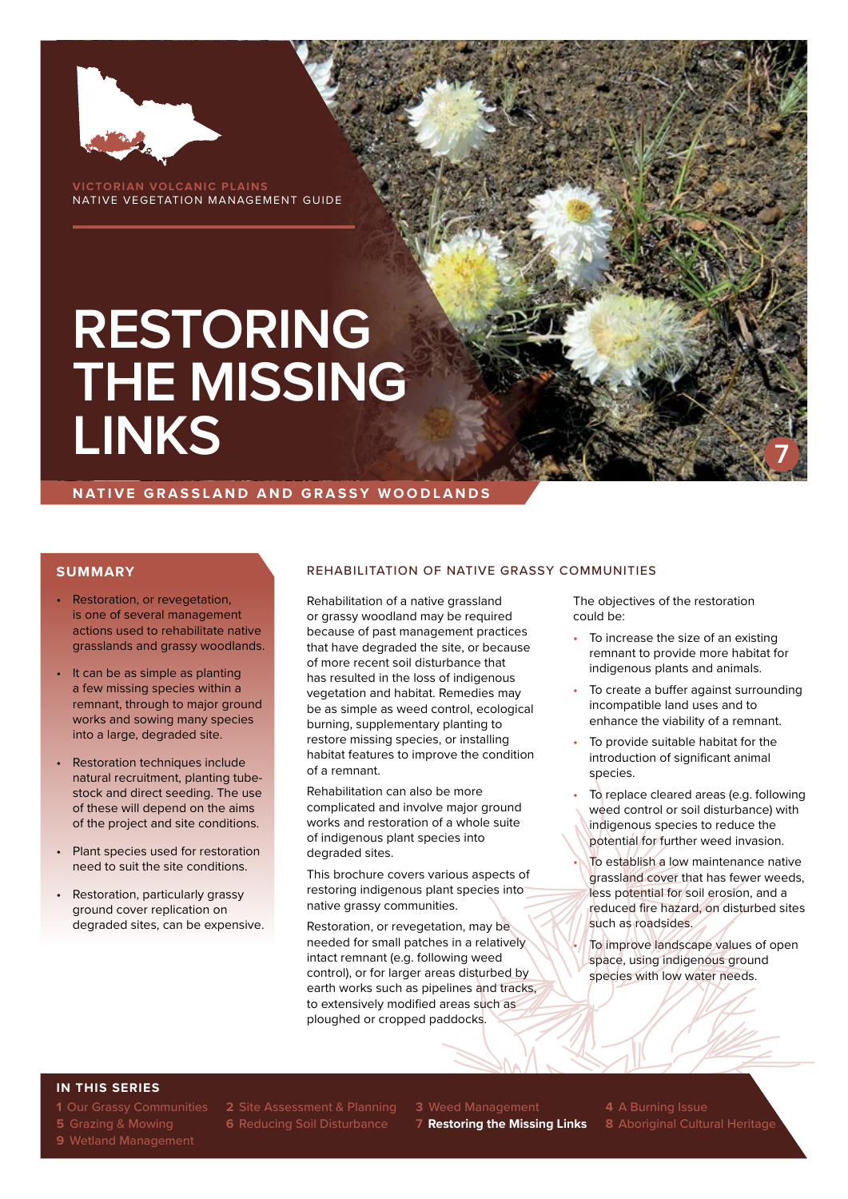

**VORIAN VOLCANIC PLAINS** NATIVE VEGETATION MANAGEMENT GUIDE

# **RESTORING THE MISSING LINKS**

**NATIVE GRASSLAND AND GRASSY WOODLANDS**

#### **SUMMARY**

- Restoration, or revegetation, is one of several management actions used to rehabilitate native grasslands and grassy woodlands.
- It can be as simple as planting a few missing species within a remnant, through to major ground works and sowing many species into a large, degraded site.
- Restoration techniques include natural recruitment, planting tubestock and direct seeding. The use of these will depend on the aims of the project and site conditions.
- Plant species used for restoration need to suit the site conditions.
- Restoration, particularly grassy ground cover replication on degraded sites, can be expensive.

#### REHABILITATION OF NATIVE GRASSY COMMUNITIES

Rehabilitation of a native grassland or grassy woodland may be required because of past management practices that have degraded the site, or because of more recent soil disturbance that has resulted in the loss of indigenous vegetation and habitat. Remedies may be as simple as weed control, ecological burning, supplementary planting to restore missing species, or installing habitat features to improve the condition of a remnant.

Rehabilitation can also be more complicated and involve major ground works and restoration of a whole suite of indigenous plant species into degraded sites.

This brochure covers various aspects of restoring indigenous plant species into native grassy communities.

Restoration, or revegetation, may be needed for small patches in a relatively intact remnant (e.g. following weed control), or for larger areas disturbed by earth works such as pipelines and tracks, to extensively modified areas such as ploughed or cropped paddocks.

The objectives of the restoration could be:

To increase the size of an existing remnant to provide more habitat for indigenous plants and animals.

**7**

- To create a buffer against surrounding incompatible land uses and to enhance the viability of a remnant.
- To provide suitable habitat for the introduction of significant animal species.
- To replace cleared areas (e.g. following weed control or soil disturbance) with indigenous species to reduce the potential for further weed invasion.
	- To establish a low maintenance native grassland cover that has fewer weeds, less potential for soil erosion, and a reduced fire hazard, on disturbed sites such as roadsides.

To improve landscape values of open space, using indigenous ground species with low water needs.

#### **IN THIS SERIES**

**1** Our Grassy Communities **2** Site Assessment & Planning **3** Weed Management **4** A Burning Issue

**5** Grazing & Mowing **6** Reducing Soil Disturbance **7 Restoring the Missing Links 8** Aboriginal Cultural Heritage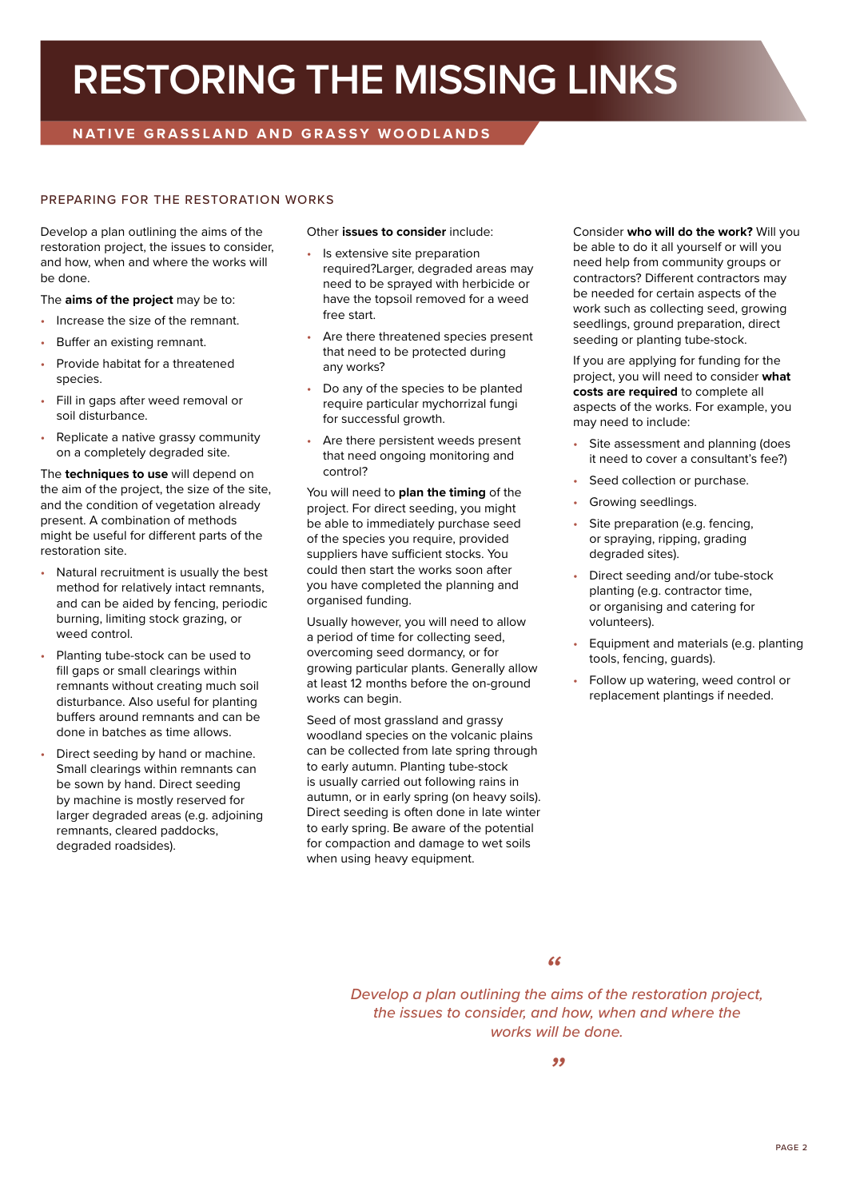### **RESTORING THE MISSING LINKS**

### **NATIVE GRASSLAND AND GRASSY WOODLANDS**

#### PREPARING FOR THE RESTORATION WORKS

Develop a plan outlining the aims of the restoration project, the issues to consider, and how, when and where the works will be done.

The **aims of the project** may be to:

- Increase the size of the remnant.
- Buffer an existing remnant.
- Provide habitat for a threatened species.
- Fill in gaps after weed removal or soil disturbance.
- Replicate a native grassy community on a completely degraded site.

The **techniques to use** will depend on the aim of the project, the size of the site, and the condition of vegetation already present. A combination of methods might be useful for different parts of the restoration site.

- Natural recruitment is usually the best method for relatively intact remnants, and can be aided by fencing, periodic burning, limiting stock grazing, or weed control.
- Planting tube-stock can be used to fill gaps or small clearings within remnants without creating much soil disturbance. Also useful for planting buffers around remnants and can be done in batches as time allows.
- Direct seeding by hand or machine. Small clearings within remnants can be sown by hand. Direct seeding by machine is mostly reserved for larger degraded areas (e.g. adjoining remnants, cleared paddocks, degraded roadsides).

Other **issues to consider** include:

- Is extensive site preparation required?Larger, degraded areas may need to be sprayed with herbicide or have the topsoil removed for a weed free start.
- Are there threatened species present that need to be protected during any works?
- Do any of the species to be planted require particular mychorrizal fungi for successful growth.
- Are there persistent weeds present that need ongoing monitoring and control?

You will need to **plan the timing** of the project. For direct seeding, you might be able to immediately purchase seed of the species you require, provided suppliers have sufficient stocks. You could then start the works soon after you have completed the planning and organised funding.

Usually however, you will need to allow a period of time for collecting seed, overcoming seed dormancy, or for growing particular plants. Generally allow at least 12 months before the on-ground works can begin.

Seed of most grassland and grassy woodland species on the volcanic plains can be collected from late spring through to early autumn. Planting tube-stock is usually carried out following rains in autumn, or in early spring (on heavy soils). Direct seeding is often done in late winter to early spring. Be aware of the potential for compaction and damage to wet soils when using heavy equipment.

Consider **who will do the work?** Will you be able to do it all yourself or will you need help from community groups or contractors? Different contractors may be needed for certain aspects of the work such as collecting seed, growing seedlings, ground preparation, direct seeding or planting tube-stock.

If you are applying for funding for the project, you will need to consider **what costs are required** to complete all aspects of the works. For example, you may need to include:

- Site assessment and planning (does it need to cover a consultant's fee?)
- Seed collection or purchase.
- Growing seedlings.
- Site preparation (e.g. fencing, or spraying, ripping, grading degraded sites).
- Direct seeding and/or tube-stock planting (e.g. contractor time, or organising and catering for volunteers).
- Equipment and materials (e.g. planting tools, fencing, guards).
- Follow up watering, weed control or replacement plantings if needed.

*"*

*Develop a plan outlining the aims of the restoration project, the issues to consider, and how, when and where the works will be done.*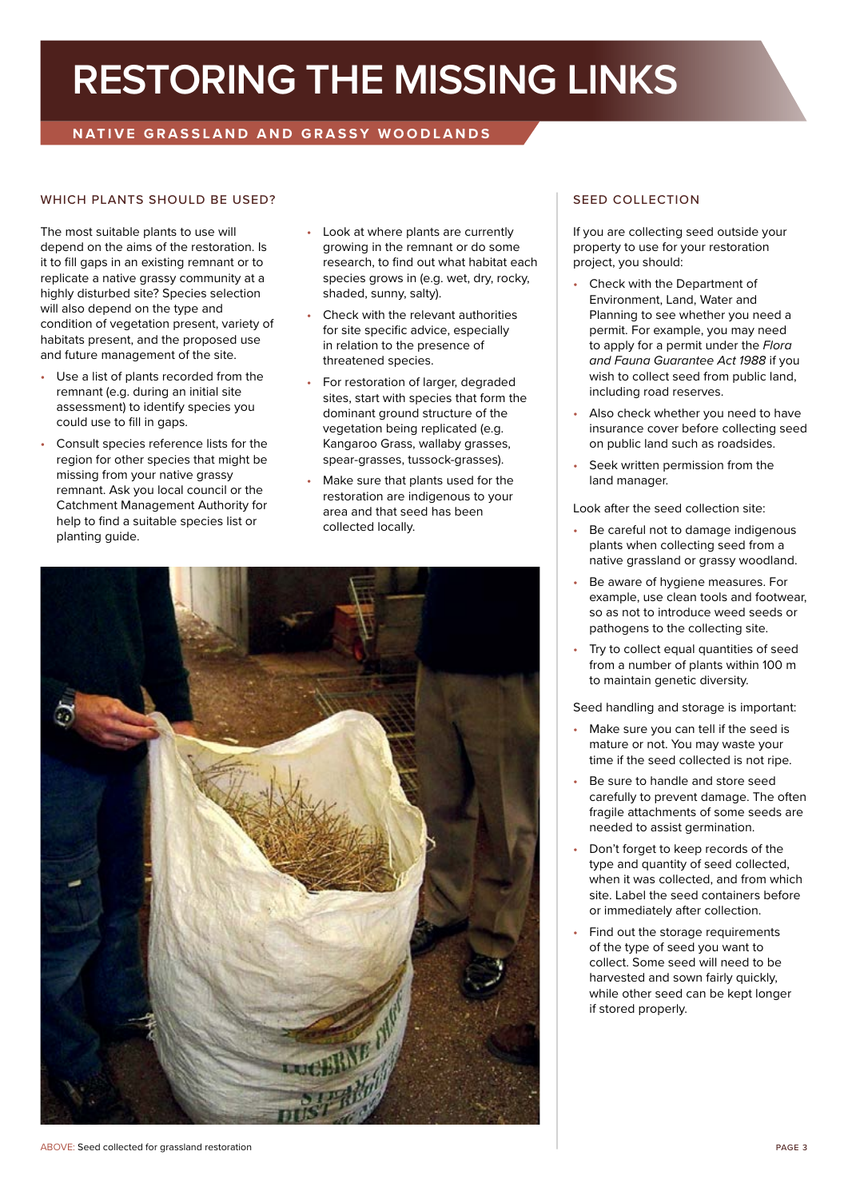### **RESTORING THE MISSING LINKS**

### **NATIVE GRASSLAND AND GRASSY WOODLANDS**

#### WHICH PLANTS SHOULD BE USED? SEED COLLECTION

The most suitable plants to use will depend on the aims of the restoration. Is it to fill gaps in an existing remnant or to replicate a native grassy community at a highly disturbed site? Species selection will also depend on the type and condition of vegetation present, variety of habitats present, and the proposed use and future management of the site.

- Use a list of plants recorded from the remnant (e.g. during an initial site assessment) to identify species you could use to fill in gaps.
- Consult species reference lists for the region for other species that might be missing from your native grassy remnant. Ask you local council or the Catchment Management Authority for help to find a suitable species list or planting guide.
- Look at where plants are currently growing in the remnant or do some research, to find out what habitat each species grows in (e.g. wet, dry, rocky, shaded, sunny, salty).
- Check with the relevant authorities for site specific advice, especially in relation to the presence of threatened species.
- For restoration of larger, degraded sites, start with species that form the dominant ground structure of the vegetation being replicated (e.g. Kangaroo Grass, wallaby grasses, spear-grasses, tussock-grasses).
- Make sure that plants used for the restoration are indigenous to your area and that seed has been collected locally.



If you are collecting seed outside your property to use for your restoration project, you should:

- Check with the Department of Environment, Land, Water and Planning to see whether you need a permit. For example, you may need to apply for a permit under the *Flora and Fauna Guarantee Act 1988* if you wish to collect seed from public land, including road reserves.
- Also check whether you need to have insurance cover before collecting seed on public land such as roadsides.
- Seek written permission from the land manager.

Look after the seed collection site:

- Be careful not to damage indigenous plants when collecting seed from a native grassland or grassy woodland.
- Be aware of hygiene measures. For example, use clean tools and footwear, so as not to introduce weed seeds or pathogens to the collecting site.
- Try to collect equal quantities of seed from a number of plants within 100 m to maintain genetic diversity.

Seed handling and storage is important:

- Make sure you can tell if the seed is mature or not. You may waste your time if the seed collected is not ripe.
- Be sure to handle and store seed carefully to prevent damage. The often fragile attachments of some seeds are needed to assist germination.
- Don't forget to keep records of the type and quantity of seed collected, when it was collected, and from which site. Label the seed containers before or immediately after collection.
- Find out the storage requirements of the type of seed you want to collect. Some seed will need to be harvested and sown fairly quickly, while other seed can be kept longer if stored properly.